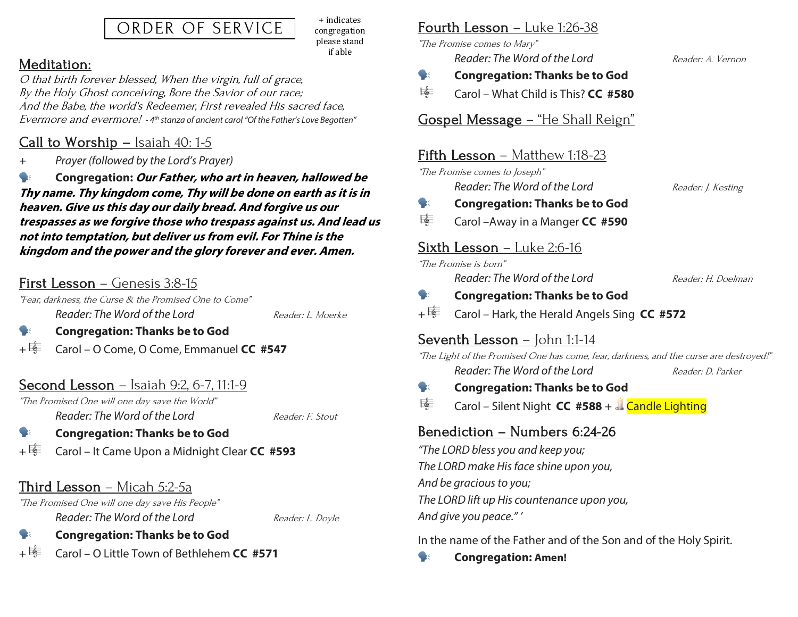# ORDER OF SERVICE

+ indicates congregation please stand if able

### Meditation:

O that birth forever blessed, When the virgin, full of grace, By the Holy Ghost conceiving, Bore the Savior of our race; And the Babe, the world's Redeemer, First revealed His sacred face, Evermore and evermore! *- 4th stanza of ancient carol "Of the Father's Love Begotten"*

# Call to Worship – Isaiah 40: 1-5

*+ Prayer (followed by the Lord's Prayer)*

 **Congregation: Our Father, who art in heaven, hallowed be Thy name. Thy kingdom come, Thy will be done on earth as it is in heaven. Give us this day our daily bread. And forgive us our trespasses as we forgive those who trespass against us. And lead us not into temptation, but deliver us from evil. For Thine is the kingdom and the power and the glory forever and ever. Amen.**

# First Lesson – Genesis 3:8-15

"Fear, darkness, the Curse & the Promised One to Come" *Reader: The Word of the Lord* Reader: L. Moerke

#### **Congregation: Thanks be to God**

+ Carol – O Come, O Come, Emmanuel **CC #547**

# Second Lesson – Isaiah 9:2, 6-7, 11:1-9

"The Promised One will one day save the World" *Reader: The Word of the Lord* Reader: F. Stout

#### **Congregation: Thanks be to God**

+ Carol – It Came Upon a Midnight Clear **CC #593**

# Third Lesson – Micah 5:2-5a

"The Promised One will one day save His People" *Reader: The Word of the Lord* Reader: L. Doyle

### **Congregation: Thanks be to God**

+ Carol – O Little Town of Bethlehem **CC #571**

### Fourth Lesson – Luke 1:26-38

"The Promise comes to Mary" *Reader: The Word of the Lord* Reader: A. Vernon

- **Congregation: Thanks be to God**
- Carol What Child is This? **CC #580**

#### Gospel Message – "He Shall Reign"

#### Fifth Lesson – Matthew 1:18-23

"The Promise comes to Joseph" *Reader: The Word of the Lord* Reader: J. Kesting

## **Congregation: Thanks be to God**

Carol –Away in a Manger **CC #590**

#### Sixth Lesson – Luke 2:6-16

"The Promise is born"

*Reader: The Word of the Lord* Reader: H. Doelman

#### **Congregation: Thanks be to God**

+ Carol – Hark, the Herald Angels Sing **CC #572**

### Seventh Lesson - John 1:1-14

"The Light of the Promised One has come, fear, darkness, and the curse are destroyed!" *Reader: The Word of the Lord* Reader: D. Parker

#### **Congregation: Thanks be to God**

Carol – Silent Night **CC #588** + Candle Lighting

# Benediction – Numbers 6:24-26

*"The LORD bless you and keep you; The LORD make His face shine upon you, And be gracious to you; The LORD lift up His countenance upon you, And give you peace." '*

In the name of the Father and of the Son and of the Holy Spirit.

**Congregation: Amen!**